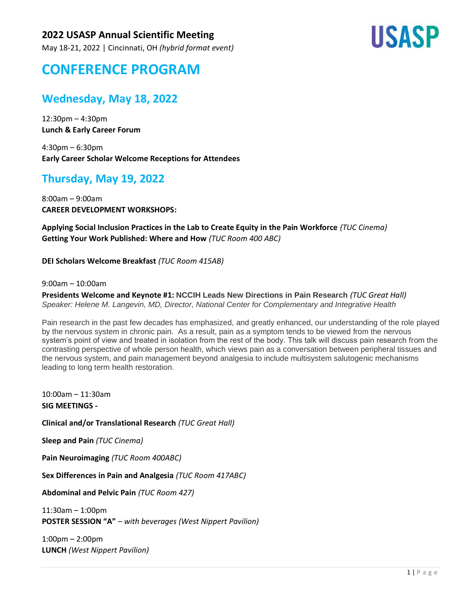May 18-21, 2022 | Cincinnati, OH *(hybrid format event)*



# **CONFERENCE PROGRAM**

## **Wednesday, May 18, 2022**

12:30pm – 4:30pm **Lunch & Early Career Forum**

4:30pm – 6:30pm **Early Career Scholar Welcome Receptions for Attendees**

## **Thursday, May 19, 2022**

8:00am – 9:00am **CAREER DEVELOPMENT WORKSHOPS:** 

**Applying Social Inclusion Practices in the Lab to Create Equity in the Pain Workforce** *(TUC Cinema)* **Getting Your Work Published: Where and How** *(TUC Room 400 ABC)*

**DEI Scholars Welcome Breakfast** *(TUC Room 415AB)*

9:00am – 10:00am

**Presidents Welcome and Keynote #1: NCCIH Leads New Directions in Pain Research** *(TUC Great Hall) Speaker: Helene M. Langevin, MD, Director, National Center for Complementary and Integrative Health*

Pain research in the past few decades has emphasized, and greatly enhanced, our understanding of the role played by the nervous system in chronic pain. As a result, pain as a symptom tends to be viewed from the nervous system's point of view and treated in isolation from the rest of the body. This talk will discuss pain research from the contrasting perspective of whole person health, which views pain as a conversation between peripheral tissues and the nervous system, and pain management beyond analgesia to include multisystem salutogenic mechanisms leading to long term health restoration.

10:00am – 11:30am **SIG MEETINGS -**

**Clinical and/or Translational Research** *(TUC Great Hall)*

**Sleep and Pain** *(TUC Cinema)*

**Pain Neuroimaging** *(TUC Room 400ABC)*

**Sex Differences in Pain and Analgesia** *(TUC Room 417ABC)*

**Abdominal and Pelvic Pain** *(TUC Room 427)*

11:30am – 1:00pm **POSTER SESSION "A"** – *with beverages (West Nippert Pavilion)*

1:00pm – 2:00pm **LUNCH** *(West Nippert Pavilion)*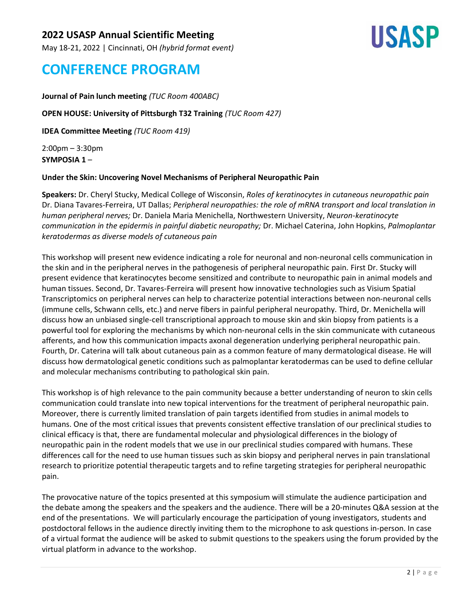May 18-21, 2022 | Cincinnati, OH *(hybrid format event)*



## **CONFERENCE PROGRAM**

### **Journal of Pain lunch meeting** *(TUC Room 400ABC)*

#### **OPEN HOUSE: University of Pittsburgh T32 Training** *(TUC Room 427)*

**IDEA Committee Meeting** *(TUC Room 419)*

2:00pm – 3:30pm **SYMPOSIA 1** –

#### **Under the Skin: Uncovering Novel Mechanisms of Peripheral Neuropathic Pain**

**Speakers:** Dr. Cheryl Stucky, Medical College of Wisconsin, *Roles of keratinocytes in cutaneous neuropathic pain* Dr. Diana Tavares-Ferreira, UT Dallas; *Peripheral neuropathies: the role of mRNA transport and local translation in human peripheral nerves;* Dr. Daniela Maria Menichella, Northwestern University, *Neuron-keratinocyte communication in the epidermis in painful diabetic neuropathy;* Dr. Michael Caterina, John Hopkins, *Palmoplantar keratodermas as diverse models of cutaneous pain*

This workshop will present new evidence indicating a role for neuronal and non-neuronal cells communication in the skin and in the peripheral nerves in the pathogenesis of peripheral neuropathic pain. First Dr. Stucky will present evidence that keratinocytes become sensitized and contribute to neuropathic pain in animal models and human tissues. Second, Dr. Tavares-Ferreira will present how innovative technologies such as Visium Spatial Transcriptomics on peripheral nerves can help to characterize potential interactions between non-neuronal cells (immune cells, Schwann cells, etc.) and nerve fibers in painful peripheral neuropathy. Third, Dr. Menichella will discuss how an unbiased single-cell transcriptional approach to mouse skin and skin biopsy from patients is a powerful tool for exploring the mechanisms by which non-neuronal cells in the skin communicate with cutaneous afferents, and how this communication impacts axonal degeneration underlying peripheral neuropathic pain. Fourth, Dr. Caterina will talk about cutaneous pain as a common feature of many dermatological disease. He will discuss how dermatological genetic conditions such as palmoplantar keratodermas can be used to define cellular and molecular mechanisms contributing to pathological skin pain.

This workshop is of high relevance to the pain community because a better understanding of neuron to skin cells communication could translate into new topical interventions for the treatment of peripheral neuropathic pain. Moreover, there is currently limited translation of pain targets identified from studies in animal models to humans. One of the most critical issues that prevents consistent effective translation of our preclinical studies to clinical efficacy is that, there are fundamental molecular and physiological differences in the biology of neuropathic pain in the rodent models that we use in our preclinical studies compared with humans. These differences call for the need to use human tissues such as skin biopsy and peripheral nerves in pain translational research to prioritize potential therapeutic targets and to refine targeting strategies for peripheral neuropathic pain.

The provocative nature of the topics presented at this symposium will stimulate the audience participation and the debate among the speakers and the speakers and the audience. There will be a 20-minutes Q&A session at the end of the presentations. We will particularly encourage the participation of young investigators, students and postdoctoral fellows in the audience directly inviting them to the microphone to ask questions in-person. In case of a virtual format the audience will be asked to submit questions to the speakers using the forum provided by the virtual platform in advance to the workshop.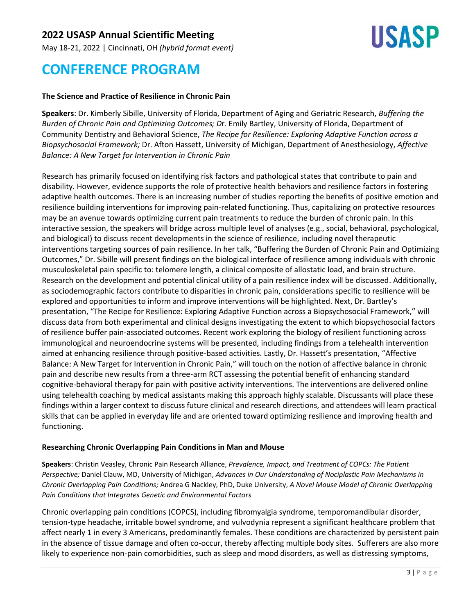May 18-21, 2022 | Cincinnati, OH *(hybrid format event)*



## **CONFERENCE PROGRAM**

#### **The Science and Practice of Resilience in Chronic Pain**

**Speakers**: Dr. Kimberly Sibille, University of Florida, Department of Aging and Geriatric Research, *Buffering the Burden of Chronic Pain and Optimizing Outcomes; D*r. Emily Bartley, University of Florida, Department of Community Dentistry and Behavioral Science, *The Recipe for Resilience: Exploring Adaptive Function across a Biopsychosocial Framework;* Dr. Afton Hassett, University of Michigan, Department of Anesthesiology, *Affective Balance: A New Target for Intervention in Chronic Pain*

Research has primarily focused on identifying risk factors and pathological states that contribute to pain and disability. However, evidence supports the role of protective health behaviors and resilience factors in fostering adaptive health outcomes. There is an increasing number of studies reporting the benefits of positive emotion and resilience building interventions for improving pain-related functioning. Thus, capitalizing on protective resources may be an avenue towards optimizing current pain treatments to reduce the burden of chronic pain. In this interactive session, the speakers will bridge across multiple level of analyses (e.g., social, behavioral, psychological, and biological) to discuss recent developments in the science of resilience, including novel therapeutic interventions targeting sources of pain resilience. In her talk, "Buffering the Burden of Chronic Pain and Optimizing Outcomes," Dr. Sibille will present findings on the biological interface of resilience among individuals with chronic musculoskeletal pain specific to: telomere length, a clinical composite of allostatic load, and brain structure. Research on the development and potential clinical utility of a pain resilience index will be discussed. Additionally, as sociodemographic factors contribute to disparities in chronic pain, considerations specific to resilience will be explored and opportunities to inform and improve interventions will be highlighted. Next, Dr. Bartley's presentation, "The Recipe for Resilience: Exploring Adaptive Function across a Biopsychosocial Framework," will discuss data from both experimental and clinical designs investigating the extent to which biopsychosocial factors of resilience buffer pain-associated outcomes. Recent work exploring the biology of resilient functioning across immunological and neuroendocrine systems will be presented, including findings from a telehealth intervention aimed at enhancing resilience through positive-based activities. Lastly, Dr. Hassett's presentation, "Affective Balance: A New Target for Intervention in Chronic Pain," will touch on the notion of affective balance in chronic pain and describe new results from a three-arm RCT assessing the potential benefit of enhancing standard cognitive-behavioral therapy for pain with positive activity interventions. The interventions are delivered online using telehealth coaching by medical assistants making this approach highly scalable. Discussants will place these findings within a larger context to discuss future clinical and research directions, and attendees will learn practical skills that can be applied in everyday life and are oriented toward optimizing resilience and improving health and functioning.

#### **Researching Chronic Overlapping Pain Conditions in Man and Mouse**

**Speakers**: Christin Veasley, Chronic Pain Research Alliance, *Prevalence, Impact, and Treatment of COPCs: The Patient Perspective;* Daniel Clauw, MD, University of Michigan, *Advances in Our Understanding of Nociplastic Pain Mechanisms in Chronic Overlapping Pain Conditions;* Andrea G Nackley, PhD, Duke University, *A Novel Mouse Model of Chronic Overlapping Pain Conditions that Integrates Genetic and Environmental Factors*

Chronic overlapping pain conditions (COPCS), including fibromyalgia syndrome, temporomandibular disorder, tension-type headache, irritable bowel syndrome, and vulvodynia represent a significant healthcare problem that affect nearly 1 in every 3 Americans, predominantly females. These conditions are characterized by persistent pain in the absence of tissue damage and often co-occur, thereby affecting multiple body sites. Sufferers are also more likely to experience non-pain comorbidities, such as sleep and mood disorders, as well as distressing symptoms,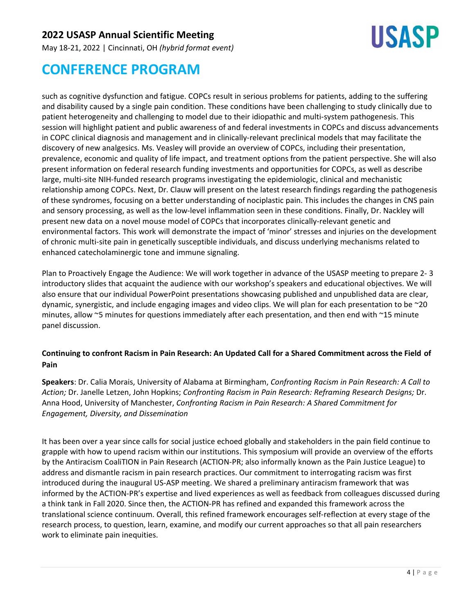May 18-21, 2022 | Cincinnati, OH *(hybrid format event)*



# **CONFERENCE PROGRAM**

such as cognitive dysfunction and fatigue. COPCs result in serious problems for patients, adding to the suffering and disability caused by a single pain condition. These conditions have been challenging to study clinically due to patient heterogeneity and challenging to model due to their idiopathic and multi-system pathogenesis. This session will highlight patient and public awareness of and federal investments in COPCs and discuss advancements in COPC clinical diagnosis and management and in clinically-relevant preclinical models that may facilitate the discovery of new analgesics. Ms. Veasley will provide an overview of COPCs, including their presentation, prevalence, economic and quality of life impact, and treatment options from the patient perspective. She will also present information on federal research funding investments and opportunities for COPCs, as well as describe large, multi-site NIH-funded research programs investigating the epidemiologic, clinical and mechanistic relationship among COPCs. Next, Dr. Clauw will present on the latest research findings regarding the pathogenesis of these syndromes, focusing on a better understanding of nociplastic pain. This includes the changes in CNS pain and sensory processing, as well as the low-level inflammation seen in these conditions. Finally, Dr. Nackley will present new data on a novel mouse model of COPCs that incorporates clinically-relevant genetic and environmental factors. This work will demonstrate the impact of 'minor' stresses and injuries on the development of chronic multi-site pain in genetically susceptible individuals, and discuss underlying mechanisms related to enhanced catecholaminergic tone and immune signaling.

Plan to Proactively Engage the Audience: We will work together in advance of the USASP meeting to prepare 2- 3 introductory slides that acquaint the audience with our workshop's speakers and educational objectives. We will also ensure that our individual PowerPoint presentations showcasing published and unpublished data are clear, dynamic, synergistic, and include engaging images and video clips. We will plan for each presentation to be ~20 minutes, allow ~5 minutes for questions immediately after each presentation, and then end with ~15 minute panel discussion.

### **Continuing to confront Racism in Pain Research: An Updated Call for a Shared Commitment across the Field of Pain**

**Speakers**: Dr. Calia Morais, University of Alabama at Birmingham, *Confronting Racism in Pain Research: A Call to Action;* Dr. Janelle Letzen, John Hopkins; *Confronting Racism in Pain Research: Reframing Research Designs;* Dr. Anna Hood, University of Manchester, *Confronting Racism in Pain Research: A Shared Commitment for Engagement, Diversity, and Dissemination*

It has been over a year since calls for social justice echoed globally and stakeholders in the pain field continue to grapple with how to upend racism within our institutions. This symposium will provide an overview of the efforts by the Antiracism CoaliTION in Pain Research (ACTION-PR; also informally known as the Pain Justice League) to address and dismantle racism in pain research practices. Our commitment to interrogating racism was first introduced during the inaugural US-ASP meeting. We shared a preliminary antiracism framework that was informed by the ACTION-PR's expertise and lived experiences as well as feedback from colleagues discussed during a think tank in Fall 2020. Since then, the ACTION-PR has refined and expanded this framework across the translational science continuum. Overall, this refined framework encourages self-reflection at every stage of the research process, to question, learn, examine, and modify our current approaches so that all pain researchers work to eliminate pain inequities.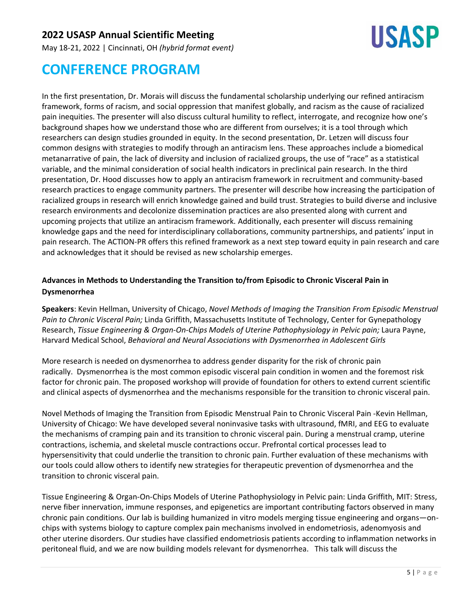May 18-21, 2022 | Cincinnati, OH *(hybrid format event)*



# **CONFERENCE PROGRAM**

In the first presentation, Dr. Morais will discuss the fundamental scholarship underlying our refined antiracism framework, forms of racism, and social oppression that manifest globally, and racism as the cause of racialized pain inequities. The presenter will also discuss cultural humility to reflect, interrogate, and recognize how one's background shapes how we understand those who are different from ourselves; it is a tool through which researchers can design studies grounded in equity. In the second presentation, Dr. Letzen will discuss four common designs with strategies to modify through an antiracism lens. These approaches include a biomedical metanarrative of pain, the lack of diversity and inclusion of racialized groups, the use of "race" as a statistical variable, and the minimal consideration of social health indicators in preclinical pain research. In the third presentation, Dr. Hood discusses how to apply an antiracism framework in recruitment and community-based research practices to engage community partners. The presenter will describe how increasing the participation of racialized groups in research will enrich knowledge gained and build trust. Strategies to build diverse and inclusive research environments and decolonize dissemination practices are also presented along with current and upcoming projects that utilize an antiracism framework. Additionally, each presenter will discuss remaining knowledge gaps and the need for interdisciplinary collaborations, community partnerships, and patients' input in pain research. The ACTION-PR offers this refined framework as a next step toward equity in pain research and care and acknowledges that it should be revised as new scholarship emerges.

### **Advances in Methods to Understanding the Transition to/from Episodic to Chronic Visceral Pain in Dysmenorrhea**

**Speakers**: Kevin Hellman, University of Chicago, *Novel Methods of Imaging the Transition From Episodic Menstrual Pain to Chronic Visceral Pain;* Linda Griffith, Massachusetts Institute of Technology, Center for Gynepathology Research, *Tissue Engineering & Organ-On-Chips Models of Uterine Pathophysiology in Pelvic pain;* Laura Payne, Harvard Medical School, *Behavioral and Neural Associations with Dysmenorrhea in Adolescent Girls*

More research is needed on dysmenorrhea to address gender disparity for the risk of chronic pain radically. Dysmenorrhea is the most common episodic visceral pain condition in women and the foremost risk factor for chronic pain. The proposed workshop will provide of foundation for others to extend current scientific and clinical aspects of dysmenorrhea and the mechanisms responsible for the transition to chronic visceral pain.

Novel Methods of Imaging the Transition from Episodic Menstrual Pain to Chronic Visceral Pain -Kevin Hellman, University of Chicago: We have developed several noninvasive tasks with ultrasound, fMRI, and EEG to evaluate the mechanisms of cramping pain and its transition to chronic visceral pain. During a menstrual cramp, uterine contractions, ischemia, and skeletal muscle contractions occur. Prefrontal cortical processes lead to hypersensitivity that could underlie the transition to chronic pain. Further evaluation of these mechanisms with our tools could allow others to identify new strategies for therapeutic prevention of dysmenorrhea and the transition to chronic visceral pain.

Tissue Engineering & Organ-On-Chips Models of Uterine Pathophysiology in Pelvic pain: Linda Griffith, MIT: Stress, nerve fiber innervation, immune responses, and epigenetics are important contributing factors observed in many chronic pain conditions. Our lab is building humanized in vitro models merging tissue engineering and organs—onchips with systems biology to capture complex pain mechanisms involved in endometriosis, adenomyosis and other uterine disorders. Our studies have classified endometriosis patients according to inflammation networks in peritoneal fluid, and we are now building models relevant for dysmenorrhea. This talk will discuss the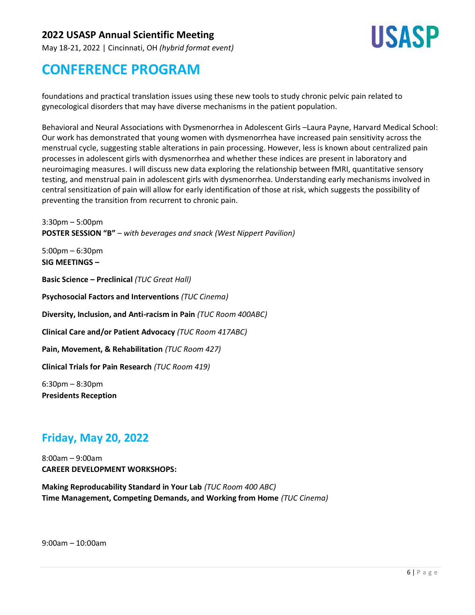May 18-21, 2022 | Cincinnati, OH *(hybrid format event)*



# **CONFERENCE PROGRAM**

foundations and practical translation issues using these new tools to study chronic pelvic pain related to gynecological disorders that may have diverse mechanisms in the patient population.

Behavioral and Neural Associations with Dysmenorrhea in Adolescent Girls –Laura Payne, Harvard Medical School: Our work has demonstrated that young women with dysmenorrhea have increased pain sensitivity across the menstrual cycle, suggesting stable alterations in pain processing. However, less is known about centralized pain processes in adolescent girls with dysmenorrhea and whether these indices are present in laboratory and neuroimaging measures. I will discuss new data exploring the relationship between fMRI, quantitative sensory testing, and menstrual pain in adolescent girls with dysmenorrhea. Understanding early mechanisms involved in central sensitization of pain will allow for early identification of those at risk, which suggests the possibility of preventing the transition from recurrent to chronic pain.

3:30pm – 5:00pm **POSTER SESSION "B"** – *with beverages and snack (West Nippert Pavilion)*

5:00pm – 6:30pm **SIG MEETINGS –**

**Basic Science – Preclinical** *(TUC Great Hall)*

**Psychosocial Factors and Interventions** *(TUC Cinema)*

**Diversity, Inclusion, and Anti-racism in Pain** *(TUC Room 400ABC)*

**Clinical Care and/or Patient Advocacy** *(TUC Room 417ABC)*

**Pain, Movement, & Rehabilitation** *(TUC Room 427)*

**Clinical Trials for Pain Research** *(TUC Room 419)*

6:30pm – 8:30pm **Presidents Reception**

## **Friday, May 20, 2022**

8:00am – 9:00am **CAREER DEVELOPMENT WORKSHOPS:**

**Making Reproducability Standard in Your Lab** *(TUC Room 400 ABC)* **Time Management, Competing Demands, and Working from Home** *(TUC Cinema)*

9:00am – 10:00am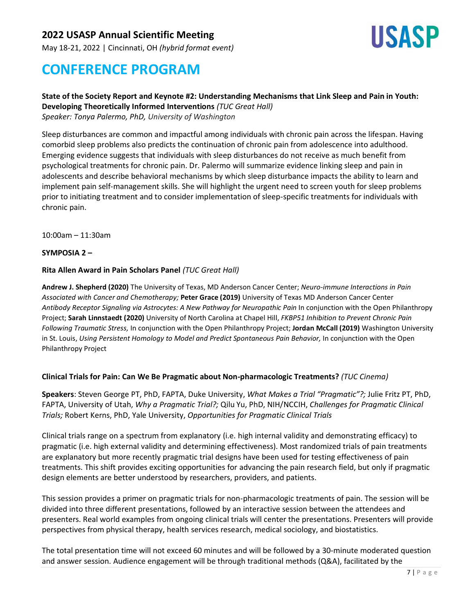May 18-21, 2022 | Cincinnati, OH *(hybrid format event)*



# **CONFERENCE PROGRAM**

#### **State of the Society Report and Keynote #2: Understanding Mechanisms that Link Sleep and Pain in Youth: Developing Theoretically Informed Interventions** *(TUC Great Hall)*

*Speaker: Tonya Palermo, PhD, University of Washington*

Sleep disturbances are common and impactful among individuals with chronic pain across the lifespan. Having comorbid sleep problems also predicts the continuation of chronic pain from adolescence into adulthood. Emerging evidence suggests that individuals with sleep disturbances do not receive as much benefit from psychological treatments for chronic pain. Dr. Palermo will summarize evidence linking sleep and pain in adolescents and describe behavioral mechanisms by which sleep disturbance impacts the ability to learn and implement pain self-management skills. She will highlight the urgent need to screen youth for sleep problems prior to initiating treatment and to consider implementation of sleep-specific treatments for individuals with chronic pain.

10:00am – 11:30am

#### **SYMPOSIA 2 –**

#### **Rita Allen Award in Pain Scholars Panel** *(TUC Great Hall)*

**Andrew J. Shepherd (2020)** The University of Texas, MD Anderson Cancer Center; *Neuro-immune Interactions in Pain Associated with Cancer and Chemotherapy;* **Peter Grace (2019)** University of Texas MD Anderson Cancer Center *Antibody Receptor Signaling via Astrocytes: A New Pathway for Neuropathic Pain* In conjunction with the Open Philanthropy Project; **Sarah Linnstaedt (2020)** University of North Carolina at Chapel Hill, *FKBP51 Inhibition to Prevent Chronic Pain Following Traumatic Stress,* In conjunction with the Open Philanthropy Project; **Jordan McCall (2019)** Washington University in St. Louis, *Using Persistent Homology to Model and Predict Spontaneous Pain Behavior,* In conjunction with the Open Philanthropy Project

#### **Clinical Trials for Pain: Can We Be Pragmatic about Non-pharmacologic Treatments?** *(TUC Cinema)*

**Speakers**: Steven George PT, PhD, FAPTA, Duke University, *What Makes a Trial "Pragmatic"?;* Julie Fritz PT, PhD, FAPTA, University of Utah, *Why a Pragmatic Trial?;* Qilu Yu, PhD, NIH/NCCIH, *Challenges for Pragmatic Clinical Trials;* Robert Kerns, PhD, Yale University, *Opportunities for Pragmatic Clinical Trials*

Clinical trials range on a spectrum from explanatory (i.e. high internal validity and demonstrating efficacy) to pragmatic (i.e. high external validity and determining effectiveness). Most randomized trials of pain treatments are explanatory but more recently pragmatic trial designs have been used for testing effectiveness of pain treatments. This shift provides exciting opportunities for advancing the pain research field, but only if pragmatic design elements are better understood by researchers, providers, and patients.

This session provides a primer on pragmatic trials for non-pharmacologic treatments of pain. The session will be divided into three different presentations, followed by an interactive session between the attendees and presenters. Real world examples from ongoing clinical trials will center the presentations. Presenters will provide perspectives from physical therapy, health services research, medical sociology, and biostatistics.

The total presentation time will not exceed 60 minutes and will be followed by a 30-minute moderated question and answer session. Audience engagement will be through traditional methods (Q&A), facilitated by the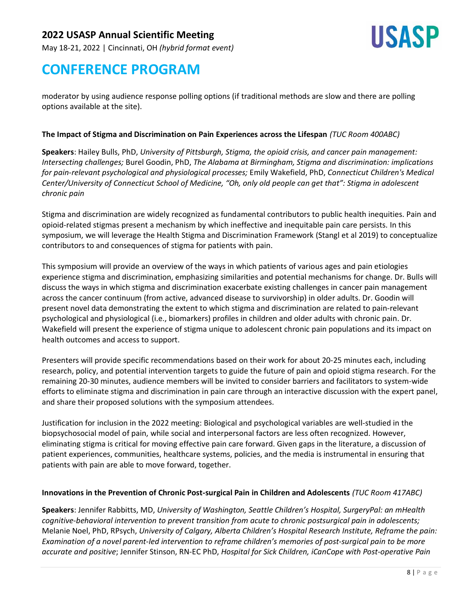May 18-21, 2022 | Cincinnati, OH *(hybrid format event)*



## **CONFERENCE PROGRAM**

moderator by using audience response polling options (if traditional methods are slow and there are polling options available at the site).

#### **The Impact of Stigma and Discrimination on Pain Experiences across the Lifespan** *(TUC Room 400ABC)*

**Speakers**: Hailey Bulls, PhD, *University of Pittsburgh, Stigma, the opioid crisis, and cancer pain management: Intersecting challenges;* Burel Goodin, PhD, *The Alabama at Birmingham, Stigma and discrimination: implications for pain-relevant psychological and physiological processes;* Emily Wakefield, PhD, *Connecticut Children's Medical Center/University of Connecticut School of Medicine, "Oh, only old people can get that": Stigma in adolescent chronic pain*

Stigma and discrimination are widely recognized as fundamental contributors to public health inequities. Pain and opioid-related stigmas present a mechanism by which ineffective and inequitable pain care persists. In this symposium, we will leverage the Health Stigma and Discrimination Framework (Stangl et al 2019) to conceptualize contributors to and consequences of stigma for patients with pain.

This symposium will provide an overview of the ways in which patients of various ages and pain etiologies experience stigma and discrimination, emphasizing similarities and potential mechanisms for change. Dr. Bulls will discuss the ways in which stigma and discrimination exacerbate existing challenges in cancer pain management across the cancer continuum (from active, advanced disease to survivorship) in older adults. Dr. Goodin will present novel data demonstrating the extent to which stigma and discrimination are related to pain-relevant psychological and physiological (i.e., biomarkers) profiles in children and older adults with chronic pain. Dr. Wakefield will present the experience of stigma unique to adolescent chronic pain populations and its impact on health outcomes and access to support.

Presenters will provide specific recommendations based on their work for about 20-25 minutes each, including research, policy, and potential intervention targets to guide the future of pain and opioid stigma research. For the remaining 20-30 minutes, audience members will be invited to consider barriers and facilitators to system-wide efforts to eliminate stigma and discrimination in pain care through an interactive discussion with the expert panel, and share their proposed solutions with the symposium attendees.

Justification for inclusion in the 2022 meeting: Biological and psychological variables are well-studied in the biopsychosocial model of pain, while social and interpersonal factors are less often recognized. However, eliminating stigma is critical for moving effective pain care forward. Given gaps in the literature, a discussion of patient experiences, communities, healthcare systems, policies, and the media is instrumental in ensuring that patients with pain are able to move forward, together.

#### **Innovations in the Prevention of Chronic Post-surgical Pain in Children and Adolescents** *(TUC Room 417ABC)*

**Speakers**: Jennifer Rabbitts, MD, *University of Washington, Seattle Children's Hospital, SurgeryPal: an mHealth cognitive-behavioral intervention to prevent transition from acute to chronic postsurgical pain in adolescents;* Melanie Noel, PhD, RPsych, *University of Calgary, Alberta Children's Hospital Research Institute, Reframe the pain: Examination of a novel parent-led intervention to reframe children's memories of post-surgical pain to be more accurate and positive*; Jennifer Stinson, RN-EC PhD, *Hospital for Sick Children, iCanCope with Post-operative Pain*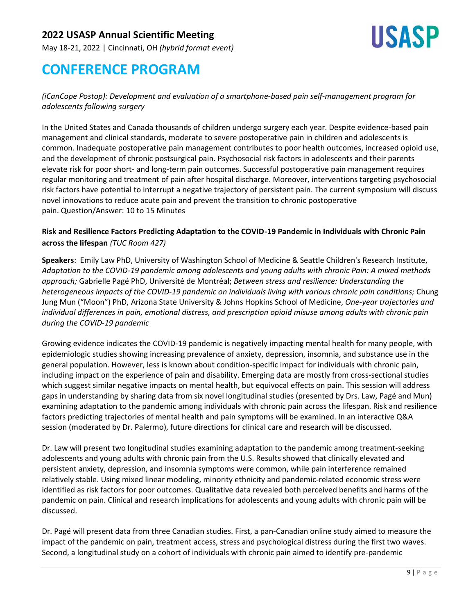May 18-21, 2022 | Cincinnati, OH *(hybrid format event)*



## **CONFERENCE PROGRAM**

*(iCanCope Postop): Development and evaluation of a smartphone-based pain self-management program for adolescents following surgery*

In the United States and Canada thousands of children undergo surgery each year. Despite evidence-based pain management and clinical standards, moderate to severe postoperative pain in children and adolescents is common. Inadequate postoperative pain management contributes to poor health outcomes, increased opioid use, and the development of chronic postsurgical pain. Psychosocial risk factors in adolescents and their parents elevate risk for poor short- and long-term pain outcomes. Successful postoperative pain management requires regular monitoring and treatment of pain after hospital discharge. Moreover, interventions targeting psychosocial risk factors have potential to interrupt a negative trajectory of persistent pain. The current symposium will discuss novel innovations to reduce acute pain and prevent the transition to chronic postoperative pain. Question/Answer: 10 to 15 Minutes

### **Risk and Resilience Factors Predicting Adaptation to the COVID-19 Pandemic in Individuals with Chronic Pain across the lifespan** *(TUC Room 427)*

**Speakers**: Emily Law PhD, University of Washington School of Medicine & Seattle Children's Research Institute, *Adaptation to the COVID-19 pandemic among adolescents and young adults with chronic Pain: A mixed methods approach;* Gabrielle Pagé PhD, Université de Montréal; *Between stress and resilience: Understanding the heterogeneous impacts of the COVID-19 pandemic on individuals living with various chronic pain conditions;* Chung Jung Mun ("Moon") PhD, Arizona State University & Johns Hopkins School of Medicine, *One-year trajectories and individual differences in pain, emotional distress, and prescription opioid misuse among adults with chronic pain during the COVID-19 pandemic*

Growing evidence indicates the COVID-19 pandemic is negatively impacting mental health for many people, with epidemiologic studies showing increasing prevalence of anxiety, depression, insomnia, and substance use in the general population. However, less is known about condition-specific impact for individuals with chronic pain, including impact on the experience of pain and disability. Emerging data are mostly from cross-sectional studies which suggest similar negative impacts on mental health, but equivocal effects on pain. This session will address gaps in understanding by sharing data from six novel longitudinal studies (presented by Drs. Law, Pagé and Mun) examining adaptation to the pandemic among individuals with chronic pain across the lifespan. Risk and resilience factors predicting trajectories of mental health and pain symptoms will be examined. In an interactive Q&A session (moderated by Dr. Palermo), future directions for clinical care and research will be discussed.

Dr. Law will present two longitudinal studies examining adaptation to the pandemic among treatment-seeking adolescents and young adults with chronic pain from the U.S. Results showed that clinically elevated and persistent anxiety, depression, and insomnia symptoms were common, while pain interference remained relatively stable. Using mixed linear modeling, minority ethnicity and pandemic-related economic stress were identified as risk factors for poor outcomes. Qualitative data revealed both perceived benefits and harms of the pandemic on pain. Clinical and research implications for adolescents and young adults with chronic pain will be discussed.

Dr. Pagé will present data from three Canadian studies. First, a pan-Canadian online study aimed to measure the impact of the pandemic on pain, treatment access, stress and psychological distress during the first two waves. Second, a longitudinal study on a cohort of individuals with chronic pain aimed to identify pre-pandemic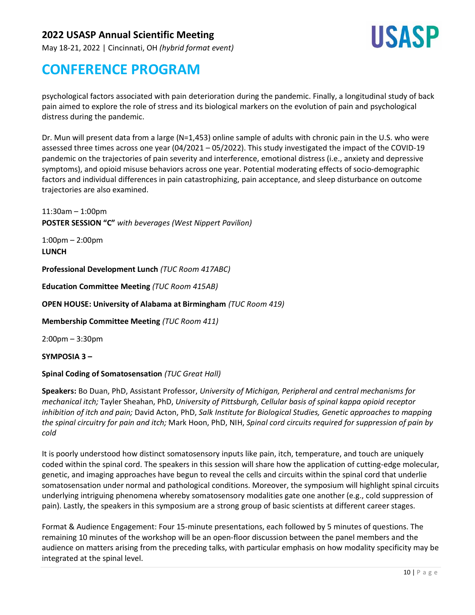May 18-21, 2022 | Cincinnati, OH *(hybrid format event)*



## **CONFERENCE PROGRAM**

psychological factors associated with pain deterioration during the pandemic. Finally, a longitudinal study of back pain aimed to explore the role of stress and its biological markers on the evolution of pain and psychological distress during the pandemic.

Dr. Mun will present data from a large (N=1,453) online sample of adults with chronic pain in the U.S. who were assessed three times across one year (04/2021 – 05/2022). This study investigated the impact of the COVID-19 pandemic on the trajectories of pain severity and interference, emotional distress (i.e., anxiety and depressive symptoms), and opioid misuse behaviors across one year. Potential moderating effects of socio-demographic factors and individual differences in pain catastrophizing, pain acceptance, and sleep disturbance on outcome trajectories are also examined.

11:30am – 1:00pm **POSTER SESSION "C"** *with beverages (West Nippert Pavilion)*

1:00pm – 2:00pm **LUNCH**

**Professional Development Lunch** *(TUC Room 417ABC)*

**Education Committee Meeting** *(TUC Room 415AB)*

**OPEN HOUSE: University of Alabama at Birmingham** *(TUC Room 419)*

**Membership Committee Meeting** *(TUC Room 411)*

2:00pm – 3:30pm

**SYMPOSIA 3 –**

#### **Spinal Coding of Somatosensation** *(TUC Great Hall)*

**Speakers:** Bo Duan, PhD, Assistant Professor, *University of Michigan, Peripheral and central mechanisms for mechanical itch;* Tayler Sheahan, PhD, *University of Pittsburgh, Cellular basis of spinal kappa opioid receptor inhibition of itch and pain;* David Acton, PhD, *Salk Institute for Biological Studies, Genetic approaches to mapping* the spinal circuitry for pain and itch; Mark Hoon, PhD, NIH, Spinal cord circuits required for suppression of pain by *cold*

It is poorly understood how distinct somatosensory inputs like pain, itch, temperature, and touch are uniquely coded within the spinal cord. The speakers in this session will share how the application of cutting-edge molecular, genetic, and imaging approaches have begun to reveal the cells and circuits within the spinal cord that underlie somatosensation under normal and pathological conditions. Moreover, the symposium will highlight spinal circuits underlying intriguing phenomena whereby somatosensory modalities gate one another (e.g., cold suppression of pain). Lastly, the speakers in this symposium are a strong group of basic scientists at different career stages.

Format & Audience Engagement: Four 15-minute presentations, each followed by 5 minutes of questions. The remaining 10 minutes of the workshop will be an open-floor discussion between the panel members and the audience on matters arising from the preceding talks, with particular emphasis on how modality specificity may be integrated at the spinal level.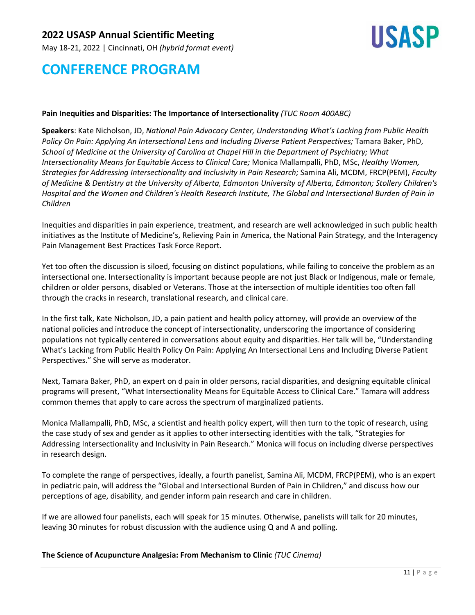May 18-21, 2022 | Cincinnati, OH *(hybrid format event)*



## **CONFERENCE PROGRAM**

#### **Pain Inequities and Disparities: The Importance of Intersectionality** *(TUC Room 400ABC)*

**Speakers**: Kate Nicholson, JD, *National Pain Advocacy Center, Understanding What's Lacking from Public Health Policy On Pain: Applying An Intersectional Lens and Including Diverse Patient Perspectives;* Tamara Baker, PhD, *School of Medicine at the University of Carolina at Chapel Hill in the Department of Psychiatry; What Intersectionality Means for Equitable Access to Clinical Care;* Monica Mallampalli, PhD, MSc, *Healthy Women, Strategies for Addressing Intersectionality and Inclusivity in Pain Research;* Samina Ali, MCDM, FRCP(PEM), *Faculty* of Medicine & Dentistry at the University of Alberta, Edmonton University of Alberta, Edmonton; Stollery Children's Hospital and the Women and Children's Health Research Institute, The Global and Intersectional Burden of Pain in *Children*

Inequities and disparities in pain experience, treatment, and research are well acknowledged in such public health initiatives as the Institute of Medicine's, Relieving Pain in America, the National Pain Strategy, and the Interagency Pain Management Best Practices Task Force Report.

Yet too often the discussion is siloed, focusing on distinct populations, while failing to conceive the problem as an intersectional one. Intersectionality is important because people are not just Black or Indigenous, male or female, children or older persons, disabled or Veterans. Those at the intersection of multiple identities too often fall through the cracks in research, translational research, and clinical care.

In the first talk, Kate Nicholson, JD, a pain patient and health policy attorney, will provide an overview of the national policies and introduce the concept of intersectionality, underscoring the importance of considering populations not typically centered in conversations about equity and disparities. Her talk will be, "Understanding What's Lacking from Public Health Policy On Pain: Applying An Intersectional Lens and Including Diverse Patient Perspectives." She will serve as moderator.

Next, Tamara Baker, PhD, an expert on d pain in older persons, racial disparities, and designing equitable clinical programs will present, "What Intersectionality Means for Equitable Access to Clinical Care." Tamara will address common themes that apply to care across the spectrum of marginalized patients.

Monica Mallampalli, PhD, MSc, a scientist and health policy expert, will then turn to the topic of research, using the case study of sex and gender as it applies to other intersecting identities with the talk, "Strategies for Addressing Intersectionality and Inclusivity in Pain Research." Monica will focus on including diverse perspectives in research design.

To complete the range of perspectives, ideally, a fourth panelist, Samina Ali, MCDM, FRCP(PEM), who is an expert in pediatric pain, will address the "Global and Intersectional Burden of Pain in Children," and discuss how our perceptions of age, disability, and gender inform pain research and care in children.

If we are allowed four panelists, each will speak for 15 minutes. Otherwise, panelists will talk for 20 minutes, leaving 30 minutes for robust discussion with the audience using Q and A and polling.

**The Science of Acupuncture Analgesia: From Mechanism to Clinic** *(TUC Cinema)*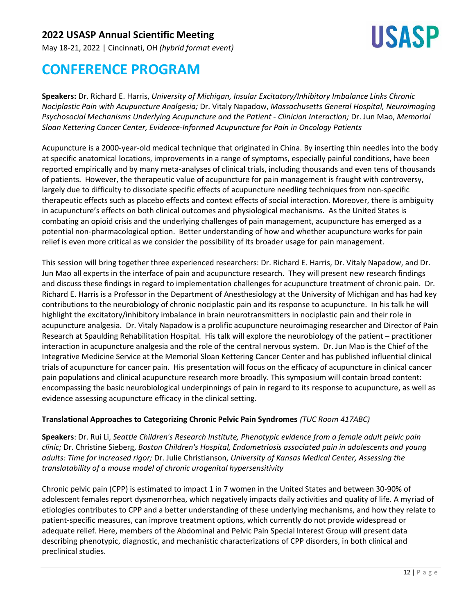May 18-21, 2022 | Cincinnati, OH *(hybrid format event)*



## **CONFERENCE PROGRAM**

**Speakers:** Dr. Richard E. Harris, *University of Michigan, Insular Excitatory/Inhibitory Imbalance Links Chronic Nociplastic Pain with Acupuncture Analgesia;* Dr. Vitaly Napadow, *Massachusetts General Hospital, Neuroimaging Psychosocial Mechanisms Underlying Acupuncture and the Patient - Clinician Interaction;* Dr. Jun Mao, *Memorial Sloan Kettering Cancer Center, Evidence-Informed Acupuncture for Pain in Oncology Patients*

Acupuncture is a 2000-year-old medical technique that originated in China. By inserting thin needles into the body at specific anatomical locations, improvements in a range of symptoms, especially painful conditions, have been reported empirically and by many meta-analyses of clinical trials, including thousands and even tens of thousands of patients. However, the therapeutic value of acupuncture for pain management is fraught with controversy, largely due to difficulty to dissociate specific effects of acupuncture needling techniques from non-specific therapeutic effects such as placebo effects and context effects of social interaction. Moreover, there is ambiguity in acupuncture's effects on both clinical outcomes and physiological mechanisms. As the United States is combating an opioid crisis and the underlying challenges of pain management, acupuncture has emerged as a potential non-pharmacological option. Better understanding of how and whether acupuncture works for pain relief is even more critical as we consider the possibility of its broader usage for pain management.

This session will bring together three experienced researchers: Dr. Richard E. Harris, Dr. Vitaly Napadow, and Dr. Jun Mao all experts in the interface of pain and acupuncture research. They will present new research findings and discuss these findings in regard to implementation challenges for acupuncture treatment of chronic pain. Dr. Richard E. Harris is a Professor in the Department of Anesthesiology at the University of Michigan and has had key contributions to the neurobiology of chronic nociplastic pain and its response to acupuncture. In his talk he will highlight the excitatory/inhibitory imbalance in brain neurotransmitters in nociplastic pain and their role in acupuncture analgesia. Dr. Vitaly Napadow is a prolific acupuncture neuroimaging researcher and Director of Pain Research at Spaulding Rehabilitation Hospital. His talk will explore the neurobiology of the patient – practitioner interaction in acupuncture analgesia and the role of the central nervous system. Dr. Jun Mao is the Chief of the Integrative Medicine Service at the Memorial Sloan Kettering Cancer Center and has published influential clinical trials of acupuncture for cancer pain. His presentation will focus on the efficacy of acupuncture in clinical cancer pain populations and clinical acupuncture research more broadly. This symposium will contain broad content: encompassing the basic neurobiological underpinnings of pain in regard to its response to acupuncture, as well as evidence assessing acupuncture efficacy in the clinical setting.

### **Translational Approaches to Categorizing Chronic Pelvic Pain Syndromes** *(TUC Room 417ABC)*

**Speakers**: Dr. Rui Li, *Seattle Children's Research Institute, Phenotypic evidence from a female adult pelvic pain clinic;* Dr. Christine Sieberg, *Boston Children's Hospital, Endometriosis associated pain in adolescents and young adults: Time for increased rigor;* Dr. Julie Christianson, *University of Kansas Medical Center, Assessing the translatability of a mouse model of chronic urogenital hypersensitivity*

Chronic pelvic pain (CPP) is estimated to impact 1 in 7 women in the United States and between 30-90% of adolescent females report dysmenorrhea, which negatively impacts daily activities and quality of life. A myriad of etiologies contributes to CPP and a better understanding of these underlying mechanisms, and how they relate to patient-specific measures, can improve treatment options, which currently do not provide widespread or adequate relief. Here, members of the Abdominal and Pelvic Pain Special Interest Group will present data describing phenotypic, diagnostic, and mechanistic characterizations of CPP disorders, in both clinical and preclinical studies.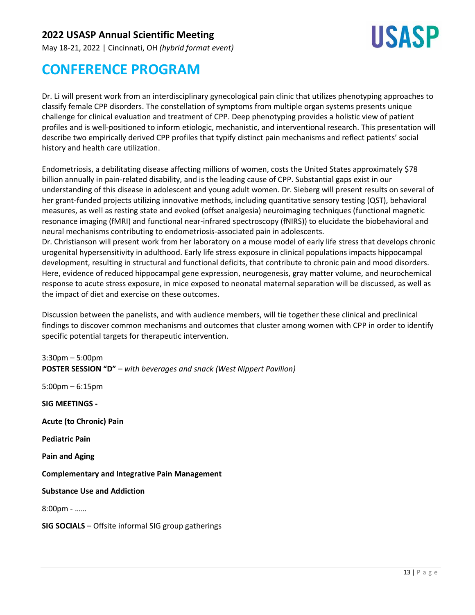May 18-21, 2022 | Cincinnati, OH *(hybrid format event)*



# **CONFERENCE PROGRAM**

Dr. Li will present work from an interdisciplinary gynecological pain clinic that utilizes phenotyping approaches to classify female CPP disorders. The constellation of symptoms from multiple organ systems presents unique challenge for clinical evaluation and treatment of CPP. Deep phenotyping provides a holistic view of patient profiles and is well-positioned to inform etiologic, mechanistic, and interventional research. This presentation will describe two empirically derived CPP profiles that typify distinct pain mechanisms and reflect patients' social history and health care utilization.

Endometriosis, a debilitating disease affecting millions of women, costs the United States approximately \$78 billion annually in pain-related disability, and is the leading cause of CPP. Substantial gaps exist in our understanding of this disease in adolescent and young adult women. Dr. Sieberg will present results on several of her grant-funded projects utilizing innovative methods, including quantitative sensory testing (QST), behavioral measures, as well as resting state and evoked (offset analgesia) neuroimaging techniques (functional magnetic resonance imaging (fMRI) and functional near-infrared spectroscopy (fNIRS)) to elucidate the biobehavioral and neural mechanisms contributing to endometriosis-associated pain in adolescents.

Dr. Christianson will present work from her laboratory on a mouse model of early life stress that develops chronic urogenital hypersensitivity in adulthood. Early life stress exposure in clinical populations impacts hippocampal development, resulting in structural and functional deficits, that contribute to chronic pain and mood disorders. Here, evidence of reduced hippocampal gene expression, neurogenesis, gray matter volume, and neurochemical response to acute stress exposure, in mice exposed to neonatal maternal separation will be discussed, as well as the impact of diet and exercise on these outcomes.

Discussion between the panelists, and with audience members, will tie together these clinical and preclinical findings to discover common mechanisms and outcomes that cluster among women with CPP in order to identify specific potential targets for therapeutic intervention.

3:30pm – 5:00pm **POSTER SESSION "D"** – *with beverages and snack (West Nippert Pavilion)* 5:00pm – 6:15pm **SIG MEETINGS - Acute (to Chronic) Pain Pediatric Pain Pain and Aging Complementary and Integrative Pain Management Substance Use and Addiction** 8:00pm - …… **SIG SOCIALS** – Offsite informal SIG group gatherings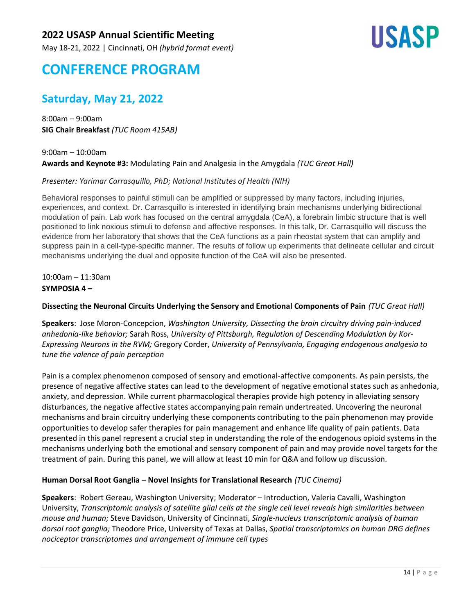May 18-21, 2022 | Cincinnati, OH *(hybrid format event)*



## **CONFERENCE PROGRAM**

## **Saturday, May 21, 2022**

8:00am – 9:00am **SIG Chair Breakfast** *(TUC Room 415AB)*

9:00am – 10:00am **Awards and Keynote #3:** Modulating Pain and Analgesia in the Amygdala *(TUC Great Hall)*

#### *Presenter: Yarimar Carrasquillo, PhD; National Institutes of Health (NIH)*

Behavioral responses to painful stimuli can be amplified or suppressed by many factors, including injuries, experiences, and context. Dr. Carrasquillo is interested in identifying brain mechanisms underlying bidirectional modulation of pain. Lab work has focused on the central amygdala (CeA), a forebrain limbic structure that is well positioned to link noxious stimuli to defense and affective responses. In this talk, Dr. Carrasquillo will discuss the evidence from her laboratory that shows that the CeA functions as a pain rheostat system that can amplify and suppress pain in a cell-type-specific manner. The results of follow up experiments that delineate cellular and circuit mechanisms underlying the dual and opposite function of the CeA will also be presented.

10:00am – 11:30am **SYMPOSIA 4 –**

#### **Dissecting the Neuronal Circuits Underlying the Sensory and Emotional Components of Pain** *(TUC Great Hall)*

**Speakers**: Jose Moron-Concepcion, *Washington University, Dissecting the brain circuitry driving pain-induced anhedonia-like behavior;* Sarah Ross, *University of Pittsburgh, Regulation of Descending Modulation by Kor-Expressing Neurons in the RVM;* Gregory Corder, *University of Pennsylvania, Engaging endogenous analgesia to tune the valence of pain perception*

Pain is a complex phenomenon composed of sensory and emotional-affective components. As pain persists, the presence of negative affective states can lead to the development of negative emotional states such as anhedonia, anxiety, and depression. While current pharmacological therapies provide high potency in alleviating sensory disturbances, the negative affective states accompanying pain remain undertreated. Uncovering the neuronal mechanisms and brain circuitry underlying these components contributing to the pain phenomenon may provide opportunities to develop safer therapies for pain management and enhance life quality of pain patients. Data presented in this panel represent a crucial step in understanding the role of the endogenous opioid systems in the mechanisms underlying both the emotional and sensory component of pain and may provide novel targets for the treatment of pain. During this panel, we will allow at least 10 min for Q&A and follow up discussion.

#### **Human Dorsal Root Ganglia – Novel Insights for Translational Research** *(TUC Cinema)*

**Speakers**: Robert Gereau, Washington University; Moderator – Introduction, Valeria Cavalli, Washington University, *Transcriptomic analysis of satellite glial cells at the single cell level reveals high similarities between mouse and human;* Steve Davidson, University of Cincinnati, *Single-nucleus transcriptomic analysis of human dorsal root ganglia;* Theodore Price, University of Texas at Dallas, *Spatial transcriptomics on human DRG defines nociceptor transcriptomes and arrangement of immune cell types*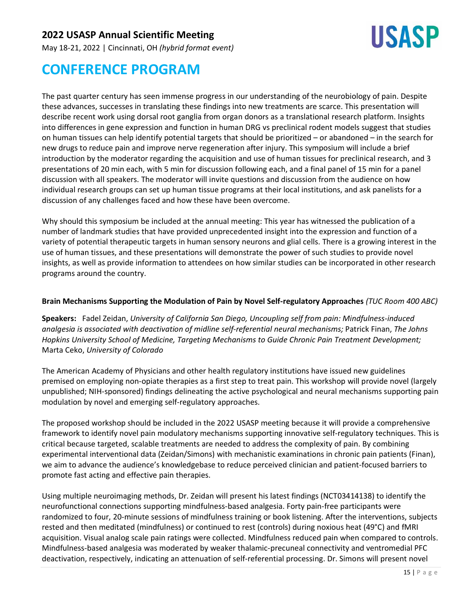May 18-21, 2022 | Cincinnati, OH *(hybrid format event)*



# **CONFERENCE PROGRAM**

The past quarter century has seen immense progress in our understanding of the neurobiology of pain. Despite these advances, successes in translating these findings into new treatments are scarce. This presentation will describe recent work using dorsal root ganglia from organ donors as a translational research platform. Insights into differences in gene expression and function in human DRG vs preclinical rodent models suggest that studies on human tissues can help identify potential targets that should be prioritized – or abandoned – in the search for new drugs to reduce pain and improve nerve regeneration after injury. This symposium will include a brief introduction by the moderator regarding the acquisition and use of human tissues for preclinical research, and 3 presentations of 20 min each, with 5 min for discussion following each, and a final panel of 15 min for a panel discussion with all speakers. The moderator will invite questions and discussion from the audience on how individual research groups can set up human tissue programs at their local institutions, and ask panelists for a discussion of any challenges faced and how these have been overcome.

Why should this symposium be included at the annual meeting: This year has witnessed the publication of a number of landmark studies that have provided unprecedented insight into the expression and function of a variety of potential therapeutic targets in human sensory neurons and glial cells. There is a growing interest in the use of human tissues, and these presentations will demonstrate the power of such studies to provide novel insights, as well as provide information to attendees on how similar studies can be incorporated in other research programs around the country.

#### **Brain Mechanisms Supporting the Modulation of Pain by Novel Self-regulatory Approaches** *(TUC Room 400 ABC)*

**Speakers:** Fadel Zeidan, *University of California San Diego, Uncoupling self from pain: Mindfulness-induced analgesia is associated with deactivation of midline self-referential neural mechanisms;* Patrick Finan, *The Johns Hopkins University School of Medicine, Targeting Mechanisms to Guide Chronic Pain Treatment Development;* Marta Ceko, *University of Colorado*

The American Academy of Physicians and other health regulatory institutions have issued new guidelines premised on employing non-opiate therapies as a first step to treat pain. This workshop will provide novel (largely unpublished; NIH-sponsored) findings delineating the active psychological and neural mechanisms supporting pain modulation by novel and emerging self-regulatory approaches.

The proposed workshop should be included in the 2022 USASP meeting because it will provide a comprehensive framework to identify novel pain modulatory mechanisms supporting innovative self-regulatory techniques. This is critical because targeted, scalable treatments are needed to address the complexity of pain. By combining experimental interventional data (Zeidan/Simons) with mechanistic examinations in chronic pain patients (Finan), we aim to advance the audience's knowledgebase to reduce perceived clinician and patient-focused barriers to promote fast acting and effective pain therapies.

Using multiple neuroimaging methods, Dr. Zeidan will present his latest findings (NCT03414138) to identify the neurofunctional connections supporting mindfulness-based analgesia. Forty pain-free participants were randomized to four, 20-minute sessions of mindfulness training or book listening. After the interventions, subjects rested and then meditated (mindfulness) or continued to rest (controls) during noxious heat (49°C) and fMRI acquisition. Visual analog scale pain ratings were collected. Mindfulness reduced pain when compared to controls. Mindfulness-based analgesia was moderated by weaker thalamic-precuneal connectivity and ventromedial PFC deactivation, respectively, indicating an attenuation of self-referential processing. Dr. Simons will present novel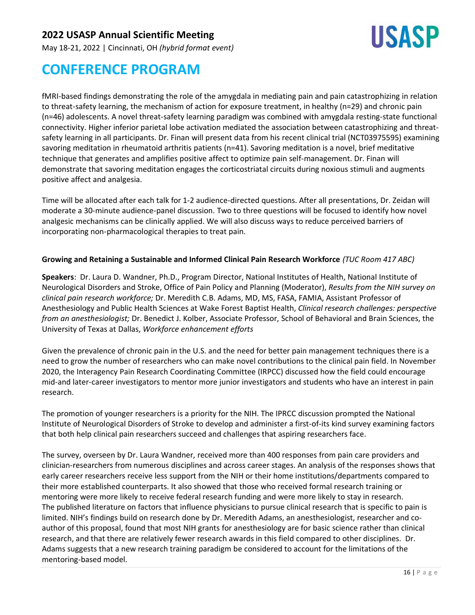

May 18-21, 2022 | Cincinnati, OH *(hybrid format event)*

# **CONFERENCE PROGRAM**

fMRI-based findings demonstrating the role of the amygdala in mediating pain and pain catastrophizing in relation to threat-safety learning, the mechanism of action for exposure treatment, in healthy (n=29) and chronic pain (n=46) adolescents. A novel threat-safety learning paradigm was combined with amygdala resting-state functional connectivity. Higher inferior parietal lobe activation mediated the association between catastrophizing and threatsafety learning in all participants. Dr. Finan will present data from his recent clinical trial (NCT03975595) examining savoring meditation in rheumatoid arthritis patients (n=41). Savoring meditation is a novel, brief meditative technique that generates and amplifies positive affect to optimize pain self-management. Dr. Finan will demonstrate that savoring meditation engages the corticostriatal circuits during noxious stimuli and augments positive affect and analgesia.

Time will be allocated after each talk for 1-2 audience-directed questions. After all presentations, Dr. Zeidan will moderate a 30-minute audience-panel discussion. Two to three questions will be focused to identify how novel analgesic mechanisms can be clinically applied. We will also discuss ways to reduce perceived barriers of incorporating non-pharmacological therapies to treat pain.

#### **Growing and Retaining a Sustainable and Informed Clinical Pain Research Workforce** *(TUC Room 417 ABC)*

**Speakers**: Dr. Laura D. Wandner, Ph.D., Program Director, National Institutes of Health, National Institute of Neurological Disorders and Stroke, Office of Pain Policy and Planning (Moderator), *Results from the NIH survey on clinical pain research workforce;* Dr. Meredith C.B. Adams, MD, MS, FASA, FAMIA, Assistant Professor of Anesthesiology and Public Health Sciences at Wake Forest Baptist Health, *Clinical research challenges: perspective from an anesthesiologist;* Dr. Benedict J. Kolber, Associate Professor, School of Behavioral and Brain Sciences, the University of Texas at Dallas, *Workforce enhancement efforts*

Given the prevalence of chronic pain in the U.S. and the need for better pain management techniques there is a need to grow the number of researchers who can make novel contributions to the clinical pain field. In November 2020, the Interagency Pain Research Coordinating Committee (IRPCC) discussed how the field could encourage mid-and later-career investigators to mentor more junior investigators and students who have an interest in pain research.

The promotion of younger researchers is a priority for the NIH. The IPRCC discussion prompted the National Institute of Neurological Disorders of Stroke to develop and administer a first-of-its kind survey examining factors that both help clinical pain researchers succeed and challenges that aspiring researchers face.

The survey, overseen by Dr. Laura Wandner, received more than 400 responses from pain care providers and clinician-researchers from numerous disciplines and across career stages. An analysis of the responses shows that early career researchers receive less support from the NIH or their home institutions/departments compared to their more established counterparts. It also showed that those who received formal research training or mentoring were more likely to receive federal research funding and were more likely to stay in research. The published literature on factors that influence physicians to pursue clinical research that is specific to pain is limited. NIH's findings build on research done by Dr. Meredith Adams, an anesthesiologist, researcher and coauthor of this proposal, found that most NIH grants for anesthesiology are for basic science rather than clinical research, and that there are relatively fewer research awards in this field compared to other disciplines. Dr. Adams suggests that a new research training paradigm be considered to account for the limitations of the mentoring-based model.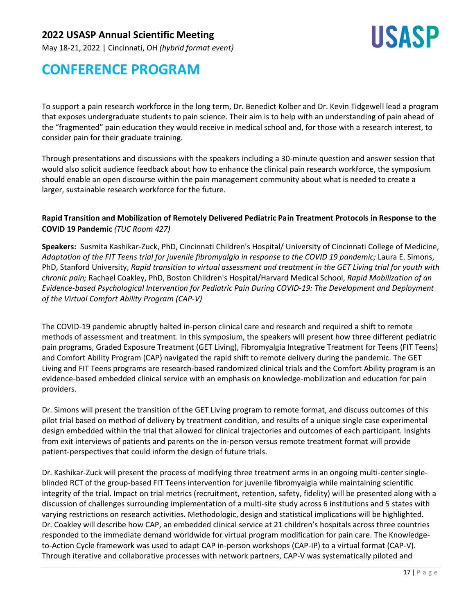May 18-21, 2022 | Cincinnati, OH *(hybrid format event)*



## **CONFERENCE PROGRAM**

To support a pain research workforce in the long term, Dr. Benedict Kolber and Dr. Kevin Tidgewell lead a program that exposes undergraduate students to pain science. Their aim is to help with an understanding of pain ahead of the "fragmented" pain education they would receive in medical school and, for those with a research interest, to consider pain for their graduate training.

Through presentations and discussions with the speakers including a 30-minute question and answer session that would also solicit audience feedback about how to enhance the clinical pain research workforce, the symposium should enable an open discourse within the pain management community about what is needed to create a larger, sustainable research workforce for the future.

#### **Rapid Transition and Mobilization of Remotely Delivered Pediatric Pain Treatment Protocols in Response to the COVID 19 Pandemic** *(TUC Room 427)*

**Speakers:** Susmita Kashikar-Zuck, PhD, Cincinnati Children's Hospital/ University of Cincinnati College of Medicine, Adaptation of the FIT Teens trial for juvenile fibromyalgia in response to the COVID 19 pandemic; Laura E. Simons, PhD, Stanford University, *Rapid transition to virtual assessment and treatment in the GET Living trial for youth with chronic pain;* Rachael Coakley, PhD, Boston Children's Hospital/Harvard Medical School, *Rapid Mobilization of an Evidence-based Psychological Intervention for Pediatric Pain During COVID-19: The Development and Deployment of the Virtual Comfort Ability Program (CAP-V)*

The COVID-19 pandemic abruptly halted in-person clinical care and research and required a shift to remote methods of assessment and treatment. In this symposium, the speakers will present how three different pediatric pain programs, Graded Exposure Treatment (GET Living), Fibromyalgia Integrative Treatment for Teens (FIT Teens) and Comfort Ability Program (CAP) navigated the rapid shift to remote delivery during the pandemic. The GET Living and FIT Teens programs are research-based randomized clinical trials and the Comfort Ability program is an evidence-based embedded clinical service with an emphasis on knowledge-mobilization and education for pain providers.

Dr. Simons will present the transition of the GET Living program to remote format, and discuss outcomes of this pilot trial based on method of delivery by treatment condition, and results of a unique single case experimental design embedded within the trial that allowed for clinical trajectories and outcomes of each participant. Insights from exit interviews of patients and parents on the in-person versus remote treatment format will provide patient-perspectives that could inform the design of future trials.

Dr. Kashikar-Zuck will present the process of modifying three treatment arms in an ongoing multi-center singleblinded RCT of the group-based FIT Teens intervention for juvenile fibromyalgia while maintaining scientific integrity of the trial. Impact on trial metrics (recruitment, retention, safety, fidelity) will be presented along with a discussion of challenges surrounding implementation of a multi-site study across 6 institutions and 5 states with varying restrictions on research activities. Methodologic, design and statistical implications will be highlighted. Dr. Coakley will describe how CAP, an embedded clinical service at 21 children's hospitals across three countries responded to the immediate demand worldwide for virtual program modification for pain care. The Knowledgeto-Action Cycle framework was used to adapt CAP in-person workshops (CAP-IP) to a virtual format (CAP-V). Through iterative and collaborative processes with network partners, CAP-V was systematically piloted and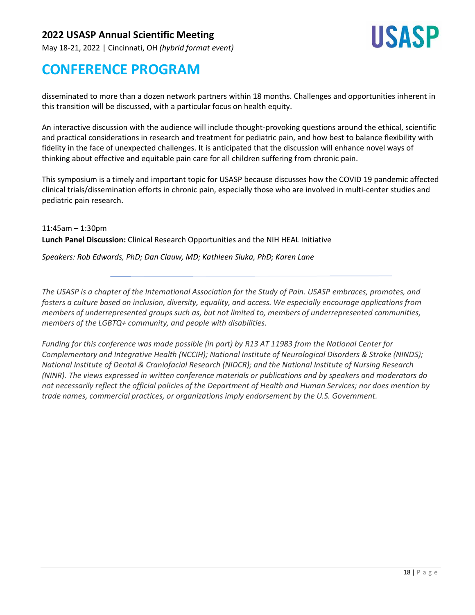May 18-21, 2022 | Cincinnati, OH *(hybrid format event)*



## **CONFERENCE PROGRAM**

disseminated to more than a dozen network partners within 18 months. Challenges and opportunities inherent in this transition will be discussed, with a particular focus on health equity.

An interactive discussion with the audience will include thought-provoking questions around the ethical, scientific and practical considerations in research and treatment for pediatric pain, and how best to balance flexibility with fidelity in the face of unexpected challenges. It is anticipated that the discussion will enhance novel ways of thinking about effective and equitable pain care for all children suffering from chronic pain.

This symposium is a timely and important topic for USASP because discusses how the COVID 19 pandemic affected clinical trials/dissemination efforts in chronic pain, especially those who are involved in multi-center studies and pediatric pain research.

11:45am – 1:30pm **Lunch Panel Discussion:** Clinical Research Opportunities and the NIH HEAL Initiative

*Speakers: Rob Edwards, PhD; Dan Clauw, MD; Kathleen Sluka, PhD; Karen Lane*

*The USASP is a chapter of the International Association for the Study of Pain. USASP embraces, promotes, and fosters a culture based on inclusion, diversity, equality, and access. We especially encourage applications from members of underrepresented groups such as, but not limited to, members of underrepresented communities, members of the LGBTQ+ community, and people with disabilities.*

*Funding for this conference was made possible (in part) by R13 AT 11983 from the National Center for Complementary and Integrative Health (NCCIH); National Institute of Neurological Disorders & Stroke (NINDS); National Institute of Dental & Craniofacial Research (NIDCR); and the National Institute of Nursing Research (NINR). The views expressed in written conference materials or publications and by speakers and moderators do not necessarily reflect the official policies of the Department of Health and Human Services; nor does mention by trade names, commercial practices, or organizations imply endorsement by the U.S. Government.*